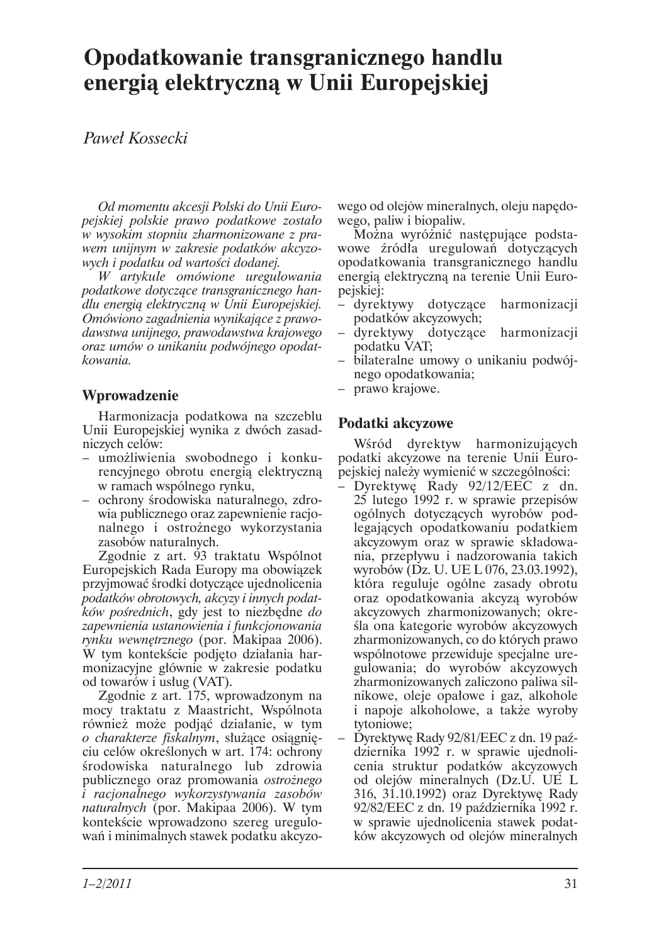# Opodatkowanie transgranicznego handlu energią elektryczną w Unii Europejskiej

# Paweł Kossecki

Od momentu akcesji Polski do Unii Europejskiej polskie prawo podatkowe zostało w wysokim stopniu zharmonizowane z prawem unijnym w zakresie podatków akcyzowych i podatku od wartości dodanej.

W artykule omówione uregulowania podatkowe dotyczące transgranicznego handlu energia elektryczna w Unii Europejskiej. Omówiono zagadnienia wynikające z prawodawstwa unijnego, prawodawstwa krajowego oraz umów o unikaniu podwójnego opodatkowania.

# Wprowadzenie

Harmonizacja podatkowa na szczeblu Unii Europejskiej wynika z dwóch zasadniczych celów:

- umożliwienia swobodnego i konkurencyjnego obrotu energią elektryczną w ramach wspólnego rynku,
- ochrony środowiska naturalnego, zdrowia publicznego oraz zapewnienie racjonalnego i ostrożnego wykorzystania zasobów naturalnych.

Zgodnie z art. 93 traktatu Wspólnot Europejskich Rada Europy ma obowiązek przyjmować środki dotyczące ujednolicenia podatków obrotowych, akcyzy i innych podatków pośrednich, gdy jest to niezbędne do zapewnienia ustanowienia i funkcjonowania rynku wewnętrznego (por. Makipaa 2006). W tym kontekście podjęto działania harmonizacyjne głównie w zakresie podatku od towarów i usług (VAT).

Zgodnie z art. 175, wprowadzonym na mocy traktatu z Maastricht, Wspólnota również może podjąć działanie, w tym o charakterze fiskalnym, służące osiągnięciu celów określonych w art. 174: ochrony środowiska naturalnego lub zdrowia publicznego oraz promowania ostrożnego i racjonalnego wykorzystywania zasobów *naturalnych* (por. Makipaa 2006). W tym kontekście wprowadzono szereg uregulowań i minimalnych stawek podatku akcyzowego od olejów mineralnych, oleju napędowego, paliw i biopaliw.

Można wyróżnić następujące podstawowe źródła uregulowań dotyczących opodatkowania transgranicznego handlu energia elektryczną na terenie Unii Europejskiej:

- dyrektywy dotyczące harmonizacji podatków akcyzowych;
- dyrektywy dotyczące harmonizacji podatku VAT;
- bilateralne umowy o unikaniu podwójnego opodatkowania;
- prawo krajowe.

## Podatki akcyzowe

Wśród dyrektyw harmonizujących podatki akcyzowe na terenie Unii Europejskiej należy wymienić w szczególności:

- Dyrektywe Rady 92/12/EEC z dn. 25 lutego 1992 r. w sprawie przepisów ogólnych dotyczących wyrobów podlegających opodatkowaniu podatkiem akcyzowym oraz w sprawie składowania, przepływu i nadzorowania takich wyrobów (Dz. U. UE L 076, 23.03.1992), która reguluje ogólne zasady obrotu oraz opodatkowania akcyzą wyrobów akcyzowych zharmonizowanych; określa ona kategorie wyrobów akcyzowych zharmonizowanych, co do których prawo wspólnotowe przewiduje specjalne uregulowania; do wyrobów akcyzowych zharmonizowanych zaliczono paliwa silnikowe, oleje opałowe i gaz, alkohole i napoje alkoholowe, a także wyroby tytoniowe;
- Dyrektywe Rady 92/81/EEC z dn. 19 października 1992 r. w sprawie ujednolicenia struktur podatków akcyzowych od olejów mineralnych (Dz.U. UE L 316, 31.10.1992) oraz Dyrektywę Rady 92/82/EEC z dn. 19 października 1992 r. w sprawie ujednolicenia stawek podatków akcyzowych od olejów mineralnych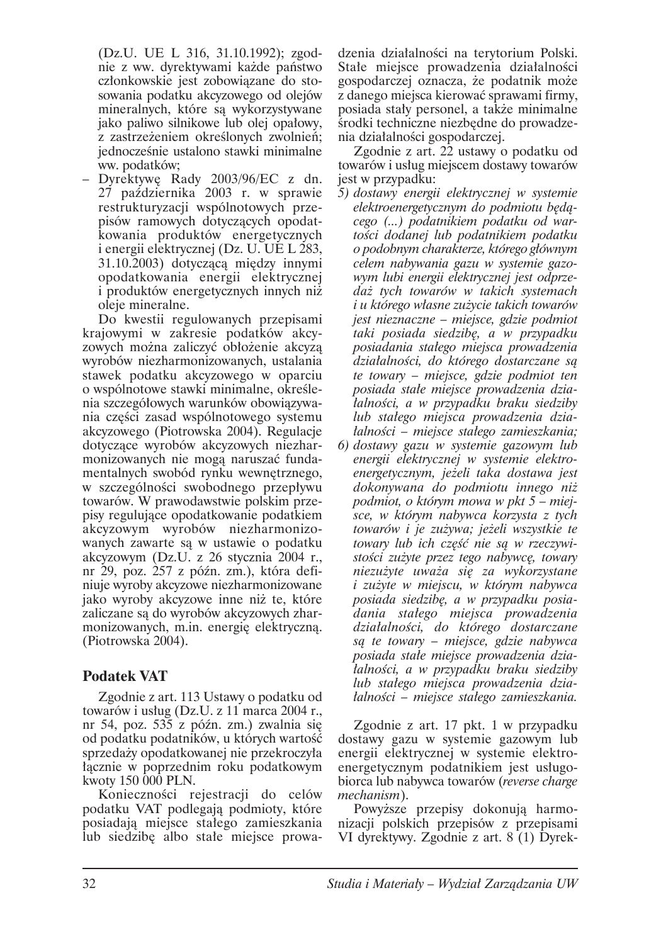(Dz.U. UE L 316, 31.10.1992); zgodnie z ww. dyrektywami każde państwo członkowskie jest zobowiazane do stosowania podatku akcyzowego od olejów mineralnych, które sa wykorzystywane jako paliwo silnikowe lub olej opałowy, z zastrzeżeniem określonych zwolnień; jednocześnie ustalono stawki minimalne ww. podatków;

- Dyrektywę Rady 2003/96/EC z dn. 27 października 2003 r. w sprawie restrukturyzacji wspólnotowych przepisów ramowych dotyczących opodatkowania produktów energetycznych i energii elektrycznej (Dz. U. UE L 283, 31.10.2003) dotycząca między innymi opodatkowania energii elektrycznej i produktów energetycznych innych niż oleje mineralne.

Do kwestii regulowanych przepisami krajowymi w zakresie podatków akcyzowych można zaliczyć obłożenie akcyza wyrobów niezharmonizowanych, ustalania stawek podatku akcyzowego w oparciu o wspólnotowe stawki minimalne, określenia szczegółowych warunków obowiązywania części zasad wspólnotowego systemu akcyzowego (Piotrowska 2004). Regulacie dotyczące wyrobów akcyzowych niezharmonizowanych nie mogą naruszać fundamentalnych swobód rynku wewnętrznego, w szczególności swobodnego przepływu towarów. W prawodawstwie polskim przepisy regulujące opodatkowanie podatkiem akcyzowym wyrobów niezharmonizowanych zawarte są w ustawie o podatku akcyzowym (Dz.U. z 26 stycznia 2004 r., nr 29, poz. 257 z późn. zm.), która definiuje wyroby akcyzowe niezharmonizowane jako wyroby akcyzowe inne niż te, które zaliczane są do wyrobów akcyzowych zharmonizowanych, m.in. energię elektryczną. (Piotrowska 2004).

## **Podatek VAT**

Zgodnie z art. 113 Ustawy o podatku od towarów i usług (Dz.U. z 11 marca 2004 r., nr 54, poz. 535 z późn. zm.) zwalnia się od podatku podatników, u których wartość sprzedaży opodatkowanej nie przekroczyła łącznie w poprzednim roku podatkowym kwoty 150 000 PLN.

Konieczności rejestracji do celów podatku VAT podlegają podmioty, które posiadają miejsce stałego zamieszkania lub siedzibę albo stałe miejsce prowadzenia działalności na tervtorium Polski. Stałe miejsce prowadzenia działalności gospodarczej oznacza, że podatnik może z danego miejsca kierować sprawami firmy, posiada stały personel, a także minimalne środki techniczne niezbędne do prowadzenia działalności gospodarczej.

Zgodnie z art. 22 ustawy o podatku od towarów i usług miejscem dostawy towarów jest w przypadku:

- 5) dostawy energii elektrycznej w systemie elektroenergetycznym do podmiotu będącego (...) podatnikiem podatku od wartości dodanej lub podatnikiem podatku o podobnym charakterze, którego głównym celem nabywania gazu w systemie gazowym lubi energii elektrycznej jest odprzedaż tych towarów w takich systemach i u którego własne zużycie takich towarów jest nieznaczne – miejsce, gdzie podmiot taki posiada siedzibę, a w przypadku posiadania stałego miejsca prowadzenia działalności, do którego dostarczane są te towary – miejsce, gdzie podmiot ten posiada stałe miejsce prowadzenia dziatalności, a w przypadku braku siedziby lub stałego miejsca prowadzenia dziatalności – miejsce stałego zamieszkania;
- 6) dostawy gazu w systemie gazowym lub energii elektrycznej w systemie elektroenergetycznym, jeżeli taka dostawa jest dokonywana do podmiotu innego niż podmiot, o którym mowa w pkt 5 – miejsce, w którym nabywca korzysta z tych towarów i je zużywa; jeżeli wszystkie te towary lub ich część nie są w rzeczywistości zużyte przez tego nabywcę, towary niezużyte uważa się za wykorzystane i zużyte w miejscu, w którym nabywca posiada siedzibę, a w przypadku posiadania stałego miejsca prowadzenia działalności, do którego dostarczane są te towary – miejsce, gdzie nabywca posiada stałe miejsce prowadzenia działalności, a w przypadku braku siedziby lub stałego miejsca prowadzenia dziatalności – miejsce stałego zamieszkania.

Zgodnie z art. 17 pkt. 1 w przypadku dostawy gazu w systemie gazowym lub energii elektrycznej w systemie elektroenergetycznym podatnikiem jest usługobiorca lub nabywca towarów (reverse charge *mechanism*).

Powyższe przepisy dokonują harmonizacji polskich przepisów z przepisami VI dyrektywy. Zgodnie z art. 8 (1) Dyrek-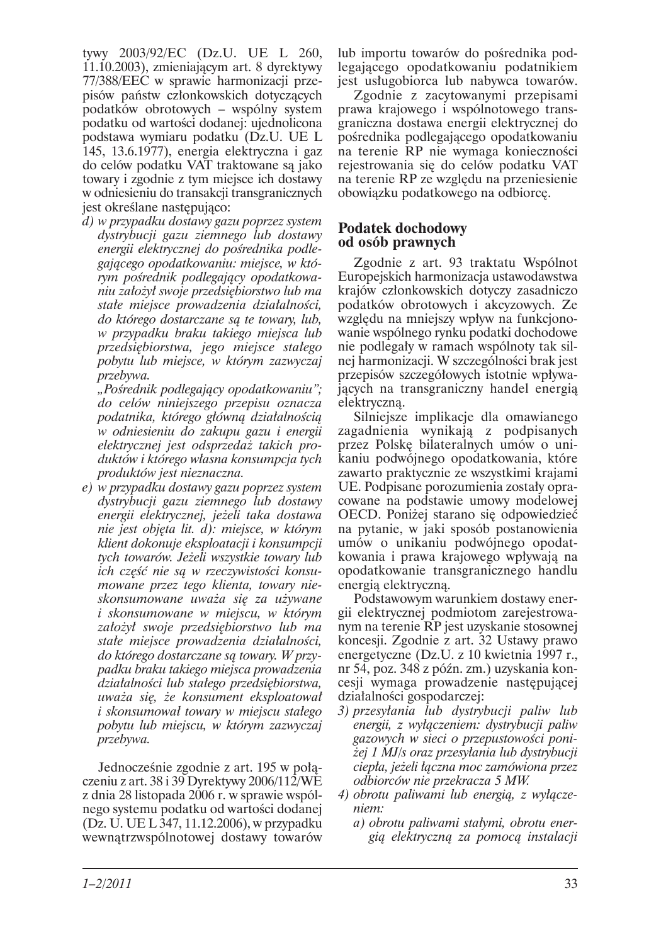tvwv 2003/92/EC (Dz.U. UE L 260, 11.10.2003), zmieniającym art. 8 dyrektywy 77/388/EEC w sprawie harmonizacji przepisów państw członkowskich dotyczących podatków obrotowych – wspólny system podatku od wartości dodanej: ujednolicona podstawa wymiaru podatku (Dz.U. UE L 145, 13.6.1977), energia elektryczna i gaz do celów podatku VAT traktowane sa jako towary i zgodnie z tym miejsce ich dostawy w odniesieniu do transakcji transgranicznych jest określane następująco:

d) w przypadku dostawy gazu poprzez system dystrybucji gazu ziemnego lub dostawy energii elektrycznej do pośrednika podlegającego opodatkowaniu: miejsce, w którym pośrednik podlegający opodatkowaniu założył swoje przedsiębiorstwo lub ma stałe miejsce prowadzenia działalności, do którego dostarczane są te towary, lub, w przypadku braku takiego miejsca lub przedsiębiorstwa, jego miejsce stałego pobytu lub miejsce, w którym zazwyczaj przebywa.

"Pośrednik podlegający opodatkowaniu"; do celów niniejszego przepisu oznacza podatnika, którego główną działalnością w odniesieniu do zakupu gazu i energii elektrycznej jest odsprzedaż takich produktów i którego własna konsumpcja tych produktów jest nieznaczna.

e) w przypadku dostawy gazu poprzez system dystrybucji gazu ziemnego lub dostawy energii elektrycznej, jeżeli taka dostawa nie jest objęta lit. d): miejsce, w którym klient dokonuje eksploatacji i konsumpcji tych towarów. Jeżeli wszystkie towary lub ich część nie są w rzeczywistości konsumowane przez tego klienta, towary nieskonsumowane uważa się za używane i skonsumowane w miejscu, w którym założył swoje przedsiębiorstwo lub ma stałe miejsce prowadzenia działalności, do którego dostarczane są towary. W przypadku braku takiego miejsca prowadzenia działalności lub stałego przedsiębiorstwa, uważa się, że konsument eksploatował *i* skonsumował towary w miejscu stałego pobytu lub miejscu, w którym zazwyczaj przebywa.

Jednocześnie zgodnie z art. 195 w połaczeniu z art. 38 i 39 Dyrektywy 2006/112/WE z dnia 28 listopada 2006 r. w sprawie wspólnego systemu podatku od wartości dodanej (Dz. U. UE L 347, 11.12.2006), w przypadku wewnątrzwspólnotowej dostawy towarów lub importu towarów do pośrednika podlegającego opodatkowaniu podatnikiem jest usługobiorca lub nabywca towarów.

Zgodnie z zacytowanymi przepisami prawa krajowego i wspólnotowego transgraniczna dostawa energii elektrycznej do pośrednika podlegającego opodatkowaniu na terenie RP nie wymaga konieczności rejestrowania się do celów podatku VAT na terenie RP ze wzgledu na przeniesienie obowiązku podatkowego na odbiorcę.

#### **Podatek dochodowy** od osób prawnych

Zgodnie z art. 93 traktatu Wspólnot Europejskich harmonizacja ustawodawstwa krajów członkowskich dotyczy zasadniczo podatków obrotowych i akcyzowych. Ze względu na mniejszy wpływ na funkcjonowanie wspólnego rynku podatki dochodowe nie podlegały w ramach wspólnoty tak silnej harmonizacji. W szczególności brak jest przepisów szczegółowych istotnie wpływających na transgraniczny handel energią elektryczną.

Silniejsze implikacje dla omawianego zagadnienia wynikają z podpisanych przez Polskę bilateralnych umów o unikaniu podwójnego opodatkowania, które zawarto praktycznie ze wszystkimi krajami UE. Podpisane porozumienia zostały opracowane na podstawie umowy modelowej OECD. Poniżej starano się odpowiedzieć na pytanie, w jaki sposób postanowienia umów o unikaniu podwójnego opodatkowania i prawa krajowego wpływają na opodatkowanie transgranicznego handlu energia elektryczna.

Podstawowym warunkiem dostawy energii elektrycznej podmiotom zarejestrowanym na terenie RP jest uzyskanie stosownej koncesji. Zgodnie z art. 32 Ustawy prawo energetyczne (Dz.U. z 10 kwietnia 1997 r., nr 54, poz. 348 z późn. zm.) uzyskania koncesii wymaga prowadzenie następującej działalności gospodarczej:

- 3) przesyłania lub dystrybucji paliw lub energii, z wyłączeniem: dystrybucji paliw gazowych w sieci o przepustowości poniżej 1 MJ/s oraz przesyłania lub dystrybucji ciepła, jeżeli łączna moc zamówiona przez odbiorców nie przekracza 5 MW.
- 4) obrotu paliwami lub energią, z wyłączeniem:
	- a) obrotu paliwami stałymi, obrotu energią elektryczną za pomocą instalacji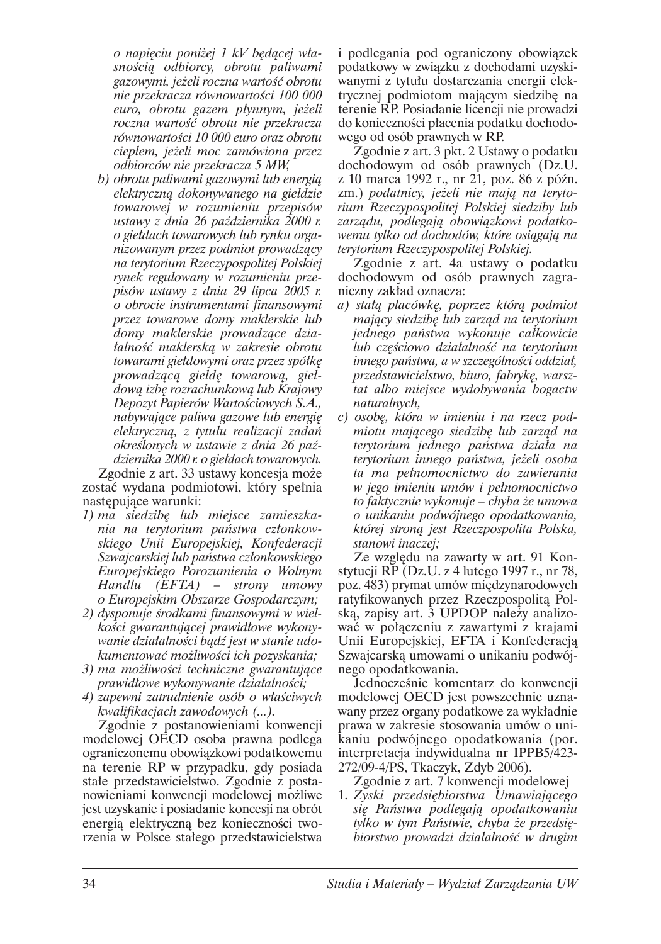o napieciu poniżej 1 kV bedacej własnością odbiorcy, obrotu paliwami gazowymi, jeżeli roczna wartość obrotu nie przekracza równowartości 100 000 euro, obrotu gazem płynnym, jeżeli roczna wartość obrotu nie przekracza równowartości 10 000 euro oraz obrotu ciepłem, jeżeli moc zamówiona przez odbiorców nie przekracza 5 MW,

b) obrotu paliwami gazowymi lub energią elektryczną dokonywanego na giełdzie towarowej w rozumieniu przepisów ustawy z dnia 26 października 2000 r. o giełdach towarowych lub rynku organizowanym przez podmiot prowadzący na tervtorium Rzeczypospolitei Polskiej rynek regulowany w rozumieniu przepisów ustawy z dnia 29 lipca 2005 r. o obrocie instrumentami finansowymi przez towarowe domy maklerskie lub domy maklerskie prowadzące działalność maklerska w zakresie obrotu towarami giełdowymi oraz przez spółkę prowadzaca giełde towarowa, giełdowa izbe rozrachunkowa lub Krajowy Depozyt Papierów Wartościowych S.A., nabywające paliwa gazowe lub energię elektryczna, z tytułu realizacji zadań określonych w ustawie z dnia 26 października 2000 r. o giełdach towarowych.

Zgodnie z art. 33 ustawy koncesja może zostać wydana podmiotowi, który spełnia następujące warunki:

- 1) ma siedzibę lub miejsce zamieszkania na terytorium państwa członkowskiego Unii Europejskiej, Konfederacji Szwajcarskiej lub państwa członkowskiego Europejskiego Porozumienia o Wolnym  $Handlu$  (*EFTA*) – *strony* umowy o Europejskim Obszarze Gospodarczym;
- 2) dysponuje środkami finansowymi w wielkości gwarantującej prawidłowe wykonywanie działalności bądź jest w stanie udokumentować możliwości ich pozyskania;
- 3) ma możliwości techniczne gwarantujące prawidłowe wykonywanie działalności;
- 4) zapewni zatrudnienie osób o właściwych kwalifikacjach zawodowych (...).

Zgodnie z postanowieniami konwencji modelowej OECD osoba prawna podlega ograniczonemu obowiązkowi podatkowemu na terenie RP w przypadku, gdy posiada stałe przedstawicielstwo. Zgodnie z postanowieniami konwencji modelowej możliwe jest uzyskanie i posiadanie koncesji na obrót energią elektryczną bez konieczności tworzenia w Polsce stałego przedstawicielstwa

i podlegania pod ograniczony obowiązek podatkowy w związku z dochodami uzyskiwanymi z tytułu dostarczania energii elektrycznej podmiotom mającym siedzibę na terenie RP. Posiadanie licencji nie prowadzi do konieczności płacenia podatku dochodowego od osób prawnych w RP.

Zgodnie z art. 3 pkt. 2 Ustawy o podatku dochodowym od osób prawnych (Dz.U. z 10 marca 1992 r., nr 21, poz. 86 z późn. zm.) podatnicy, jeżeli nie mają na terytorium Rzeczypospolitej Polskiej siedziby lub zarzadu, podlegaja obowiązkowi podatkowemu tvlko od dochodów, które osiagaja na terytorium Rzeczypospolitej Polskiej.

Zgodnie z art. 4a ustawy o podatku dochodowym od osób prawnych zagraniczny zakład oznacza:

- a) stałą placówkę, poprzez którą podmiot mający siedzibę lub zarząd na terytorium jednego państwa wykonuje całkowicie lub częściowo działalność na terytorium innego państwa, a w szczególności oddział, przedstawicielstwo, biuro, fabrykę, warsztat albo miejsce wydobywania bogactw naturalnych,
- c) osobe, która w imieniu i na rzecz podmiotu mającego siedzibę lub zarząd na terytorium jednego państwa działa na terytorium innego państwa, jeżeli osoba ta ma pełnomocnictwo do zawierania w jego imieniu umów i pełnomocnictwo to faktycznie wykonuje – chyba że umowa o unikaniu podwójnego opodatkowania, której stroną jest Rzeczpospolita Polska, stanowi inaczej;

Ze względu na zawarty w art. 91 Konstytucji RP (Dz.U. z 4 lutego 1997 r., nr 78, poz. 483) prymat umów międzynarodowych ratyfikowanych przez Rzeczpospolitą Polską, zapisy art. 3 UPDOP należy analizować w połączeniu z zawartymi z krajami Unii Europejskiej, EFTA i Konfederacja Szwajcarską umowami o unikaniu podwójnego opodatkowania.

Jednocześnie komentarz do konwencji modelowej OECD jest powszechnie uznawany przez organy podatkowe za wykładnie prawa w zakresie stosowania umów o unikaniu podwójnego opodatkowania (por. interpretacja indywidualna nr IPPB5/423-272/09-4/PS, Tkaczyk, Zdyb 2006).

- Zgodnie z art. 7 konwencji modelowej
- 1. Zyski przedsiębiorstwa Umawiającego się Państwa podlegają opodatkowaniu tylko w tym Państwie, chyba że przedsiębiorstwo prowadzi działalność w drugim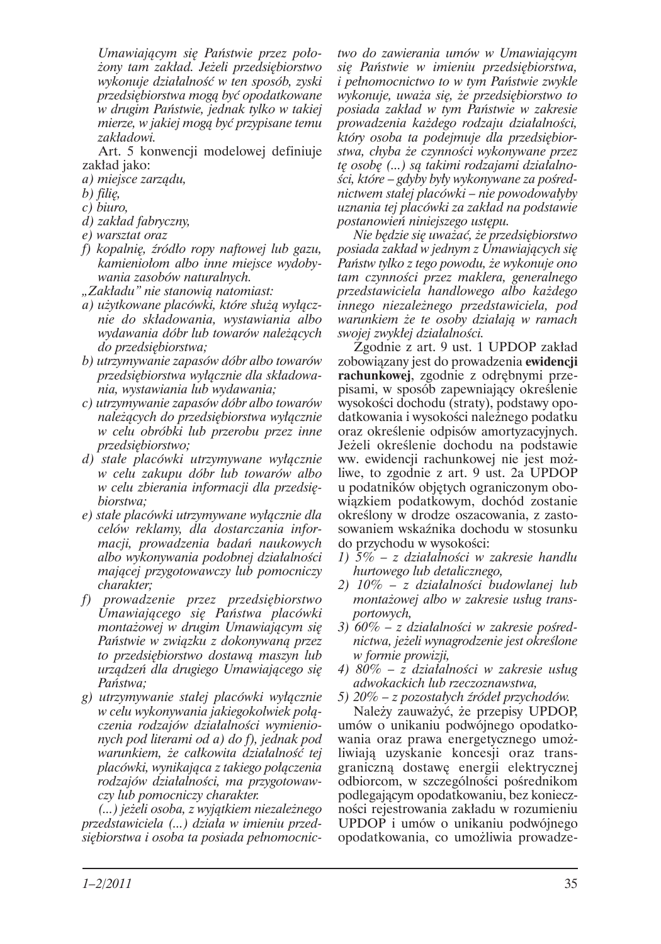Umawiającym się Państwie przez położony tam zakład. Jeżeli przedsiębiorstwo wykonuje działalność w ten sposób, zyski przedsiębiorstwa mogą być opodatkowane w drugim Państwie, jednak tylko w takiej mierze, w jakiej mogą być przypisane temu zakładowi.

Art. 5 konwencji modelowej definiuje zakład jako:

- a) miejsce zarządu,
- b) filie,
- $c)$  biuro,
- $d)$  zakład fabryczny,
- e) warsztat oraz
- f) kopalnie, źródło ropy naftowej lub gazu, kamieniołom albo inne miejsce wydobywania zasobów naturalnych.
- "Zakładu" nie stanowią natomiast:
- a) użytkowane placówki, które służą wyłącznie do składowania, wystawiania albo wydawania dóbr lub towarów należących do przedsiebiorstwa;
- b) utrzymywanie zapasów dóbr albo towarów przedsiebiorstwa wyłacznie dla składowania, wystawiania lub wydawania:
- c) utrzymywanie zapasów dóbr albo towarów należących do przedsiębiorstwa wyłącznie w celu obróbki lub przerobu przez inne przedsiębiorstwo;
- d) stałe placówki utrzymywane wyłącznie w celu zakupu dóbr lub towarów albo w celu zbierania informacji dla przedsiębiorstwa:
- e) stałe placówki utrzymywane wyłącznie dla celów reklamy, dla dostarczania informacji, prowadzenia badań naukowych albo wykonywania podobnej działalności mającej przygotowawczy lub pomocniczy charakter;
- f) prowadzenie przez przedsiębiorstwo Umawiającego się Państwa placówki montażowej w drugim Umawiającym się Państwie w związku z dokonywaną przez to przedsiębiorstwo dostawą maszyn lub urządzeń dla drugiego Umawiającego się Państwa:
- g) utrzymywanie stałej placówki wyłącznie w celu wykonywania jakiegokolwiek połączenia rodzajów działalności wymienionych pod literami od a) do f), jednak pod warunkiem, że całkowita działalność tej placówki, wynikająca z takiego połączenia rodzajów działalności, ma przygotowawczy lub pomocniczy charakter.

(...) jeżeli osoba, z wyjątkiem niezależnego przedstawiciela (...) działa w imieniu przedsiębiorstwa i osoba ta posiada pełnomocnic-

two do zawierania umów w Umawiajacym sie Państwie w imieniu przedsiebiorstwa, *i* pełnomocnictwo to w tym Państwie zwykle wykonuje, uważa się, że przedsiębiorstwo to posiada zakład w tym Państwie w zakresie prowadzenia każdego rodzaju działalności, który osoba ta podejmuje dla przedsiebiorstwa, chyba że czynności wykonywane przez te osobe (...) sa takimi rodzajami działalności, które – gdyby były wykonywane za pośrednictwem stałej placówki – nie powodowałyby uznania tej placówki za zakład na podstawie postanowień niniejszego ustępu.

Nie bedzie sie uważać, że przedsiebiorstwo posiada zakład w jednym z Umawiających się Państw tylko z tego powodu, że wykonuje ono tam czynności przez maklera, generalnego przedstawiciela handlowego albo każdego innego niezależnego przedstawiciela, pod warunkiem że te osoby działają w ramach swojej zwykłej działalności.

Zgodnie z art. 9 ust. 1 UPDOP zakład zobowiązany jest do prowadzenia ewidencji rachunkowej, zgodnie z odrebnymi przepisami, w sposób zapewniający określenie wysokości dochodu (straty), podstawy opodatkowania i wysokości należnego podatku oraz określenie odpisów amortyzacyjnych. Jeżeli określenie dochodu na podstawie ww. ewidencji rachunkowej nie jest możliwe, to zgodnie z art. 9 ust. 2a UPDOP u podatników objętych ograniczonym obowiązkiem podatkowym, dochód zostanie określony w drodze oszacowania, z zastosowaniem wskaźnika dochodu w stosunku do przychodu w wysokości:

- 1)  $5\%$  z działalności w zakresie handlu hurtowego lub detalicznego,
- 2) 10% z działalności budowlanej lub montażowej albo w zakresie usług transportowych,
- 3)  $60\%$  z działalności w zakresie pośrednictwa, jeżeli wynagrodzenie jest określone w formie prowizji,
- 4)  $80\%$  z działalności w zakresie usług adwokackich lub rzeczoznawstwa,
- 5)  $20\%$  z pozostałych źródeł przychodów.

Należy zauważyć, że przepisy UPDOP, umów o unikaniu podwójnego opodatkowania oraz prawa energetycznego umożliwiają uzyskanie koncesji oraz transgraniczną dostawę energii elektrycznej odbiorcom, w szczególności pośrednikom podlegającym opodatkowaniu, bez konieczności rejestrowania zakładu w rozumieniu UPDOP i umów o unikaniu podwójnego opodatkowania, co umożliwia prowadze-